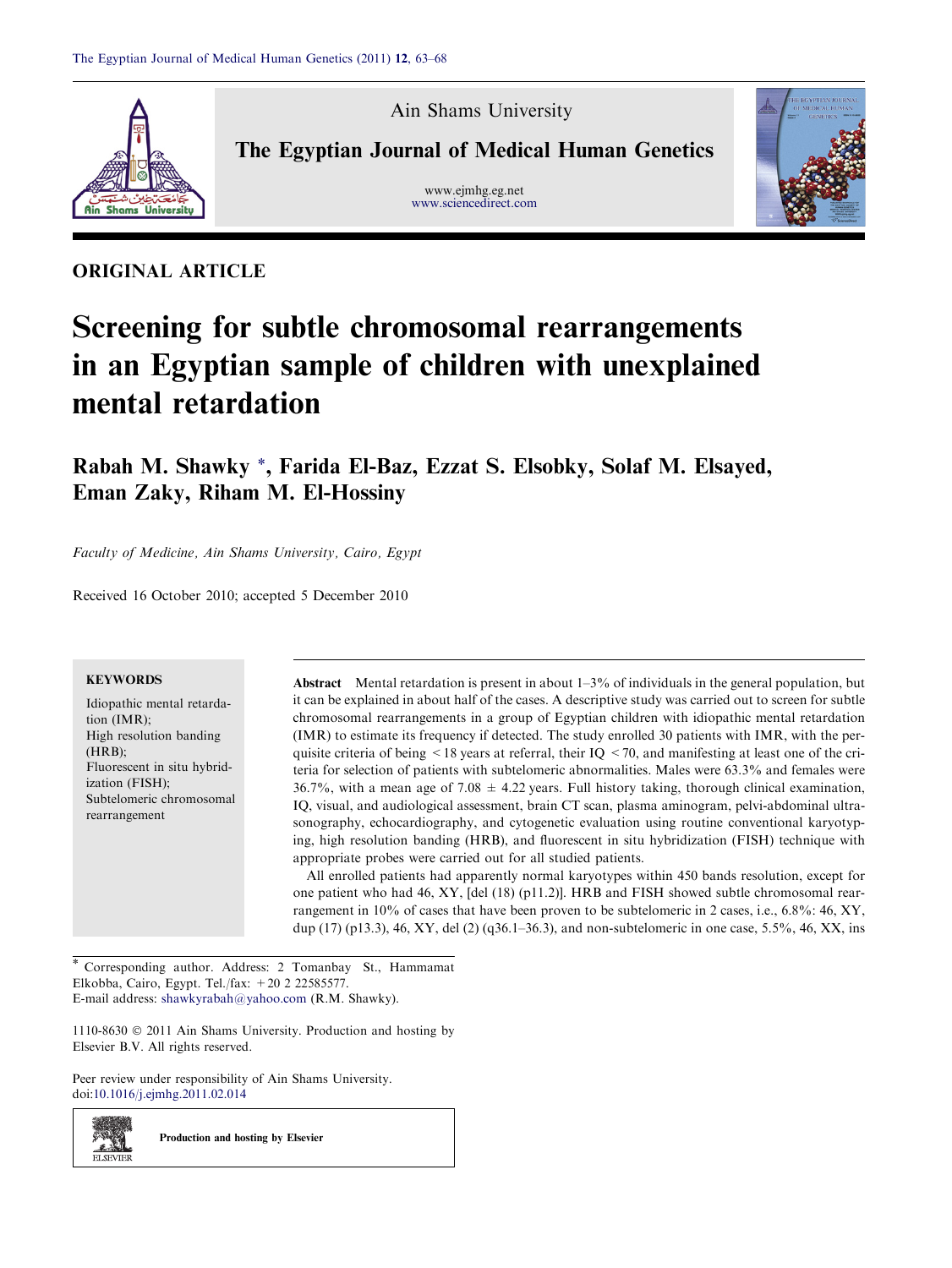

Ain Shams University

The Egyptian Journal of Medical Human Genetics

www.ejmhg.eg.net [www.sciencedirect.com](http://www.sciencedirect.com/science/journal/11108630)



# ORIGINAL ARTICLE

# Screening for subtle chromosomal rearrangements in an Egyptian sample of children with unexplained mental retardation

Rabah M. Shawky \*, Farida El-Baz, Ezzat S. Elsobky, Solaf M. Elsayed, Eman Zaky, Riham M. El-Hossiny

Faculty of Medicine, Ain Shams University, Cairo, Egypt

Received 16 October 2010; accepted 5 December 2010

# **KEYWORDS**

Idiopathic mental retardation (IMR); High resolution banding (HRB); Fluorescent in situ hybridization (FISH); Subtelomeric chromosomal rearrangement

Abstract Mental retardation is present in about  $1-3\%$  of individuals in the general population, but it can be explained in about half of the cases. A descriptive study was carried out to screen for subtle chromosomal rearrangements in a group of Egyptian children with idiopathic mental retardation (IMR) to estimate its frequency if detected. The study enrolled 30 patients with IMR, with the perquisite criteria of being  $\leq$  18 years at referral, their IQ  $\leq$  70, and manifesting at least one of the criteria for selection of patients with subtelomeric abnormalities. Males were 63.3% and females were 36.7%, with a mean age of 7.08  $\pm$  4.22 years. Full history taking, thorough clinical examination, IQ, visual, and audiological assessment, brain CT scan, plasma aminogram, pelvi-abdominal ultrasonography, echocardiography, and cytogenetic evaluation using routine conventional karyotyping, high resolution banding (HRB), and fluorescent in situ hybridization (FISH) technique with appropriate probes were carried out for all studied patients.

All enrolled patients had apparently normal karyotypes within 450 bands resolution, except for one patient who had 46, XY, [del (18) (p11.2)]. HRB and FISH showed subtle chromosomal rearrangement in 10% of cases that have been proven to be subtelomeric in 2 cases, i.e., 6.8%: 46, XY, dup (17) (p13.3), 46, XY, del (2) (q36.1–36.3), and non-subtelomeric in one case, 5.5%, 46, XX, ins

\* Corresponding author. Address: 2 Tomanbay St., Hammamat Elkobba, Cairo, Egypt. Tel./fax: +20 2 22585577. E-mail address: [shawkyrabah@yahoo.com](mailto:shawkyrabah@yahoo.com) (R.M. Shawky).

 $1110-8630$   $\odot$  2011 Ain Shams University. Production and hosting by Elsevier B.V. All rights reserved.

Peer review under responsibility of Ain Shams University. doi[:10.1016/j.ejmhg.2011.02.014](http://dx.doi.org/10.1016/j.ejmhg.2011.02.014)



Production and hosting by Elsevier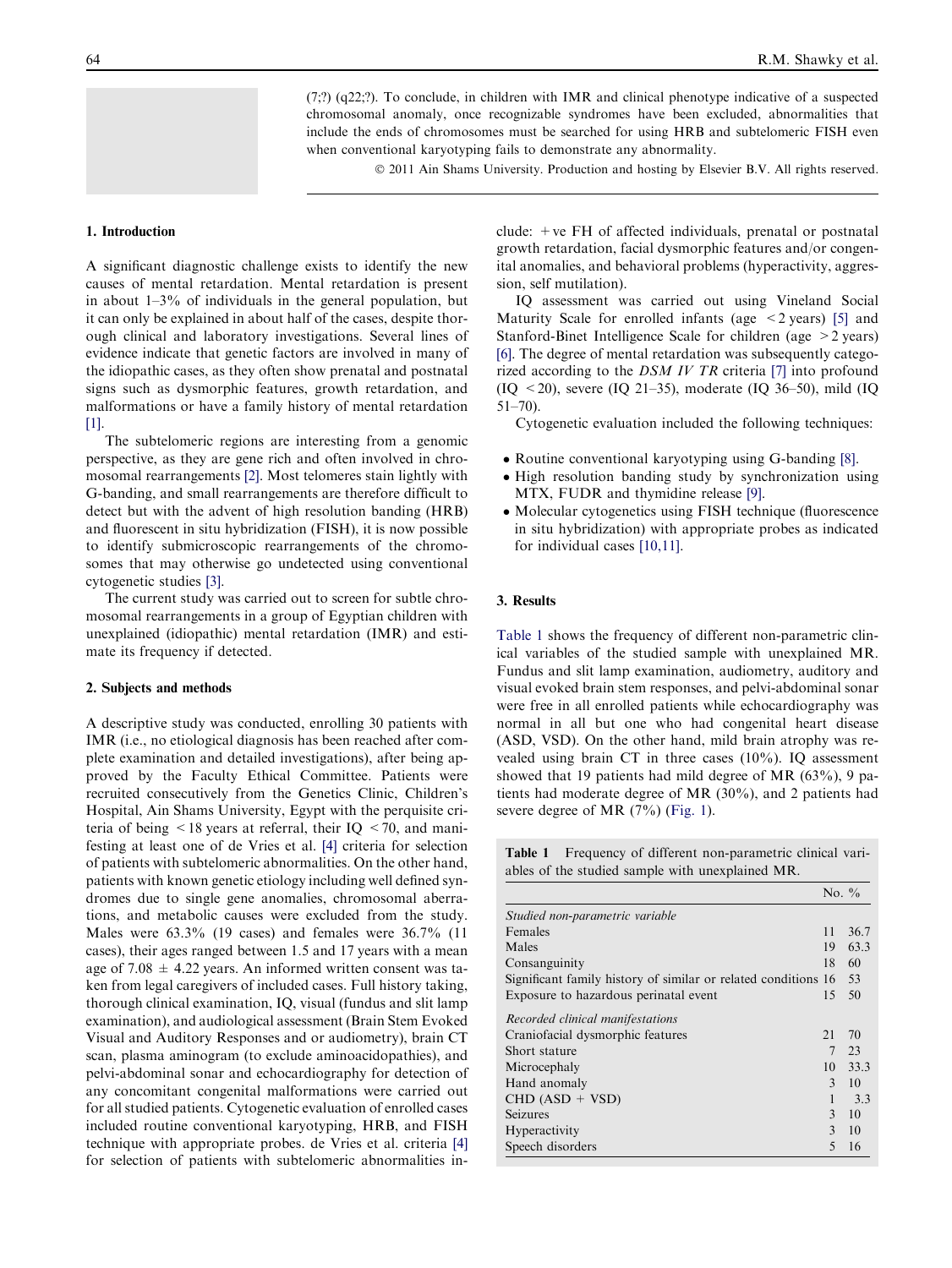(7;?) (q22;?). To conclude, in children with IMR and clinical phenotype indicative of a suspected chromosomal anomaly, once recognizable syndromes have been excluded, abnormalities that include the ends of chromosomes must be searched for using HRB and subtelomeric FISH even when conventional karyotyping fails to demonstrate any abnormality.

© 2011 Ain Shams University. Production and hosting by Elsevier B.V. All rights reserved.

## 1. Introduction

A significant diagnostic challenge exists to identify the new causes of mental retardation. Mental retardation is present in about 1–3% of individuals in the general population, but it can only be explained in about half of the cases, despite thorough clinical and laboratory investigations. Several lines of evidence indicate that genetic factors are involved in many of the idiopathic cases, as they often show prenatal and postnatal signs such as dysmorphic features, growth retardation, and malformations or have a family history of mental retardation [\[1\]](#page-4-0).

The subtelomeric regions are interesting from a genomic perspective, as they are gene rich and often involved in chromosomal rearrangements [\[2\]](#page-4-0). Most telomeres stain lightly with G-banding, and small rearrangements are therefore difficult to detect but with the advent of high resolution banding (HRB) and fluorescent in situ hybridization (FISH), it is now possible to identify submicroscopic rearrangements of the chromosomes that may otherwise go undetected using conventional cytogenetic studies [\[3\]](#page-4-0).

The current study was carried out to screen for subtle chromosomal rearrangements in a group of Egyptian children with unexplained (idiopathic) mental retardation (IMR) and estimate its frequency if detected.

### 2. Subjects and methods

A descriptive study was conducted, enrolling 30 patients with IMR (i.e., no etiological diagnosis has been reached after complete examination and detailed investigations), after being approved by the Faculty Ethical Committee. Patients were recruited consecutively from the Genetics Clinic, Children's Hospital, Ain Shams University, Egypt with the perquisite criteria of being  $\leq 18$  years at referral, their IQ  $\leq 70$ , and manifesting at least one of de Vries et al. [\[4\]](#page-4-0) criteria for selection of patients with subtelomeric abnormalities. On the other hand, patients with known genetic etiology including well defined syndromes due to single gene anomalies, chromosomal aberrations, and metabolic causes were excluded from the study. Males were 63.3% (19 cases) and females were 36.7% (11 cases), their ages ranged between 1.5 and 17 years with a mean age of 7.08  $\pm$  4.22 years. An informed written consent was taken from legal caregivers of included cases. Full history taking, thorough clinical examination, IQ, visual (fundus and slit lamp examination), and audiological assessment (Brain Stem Evoked Visual and Auditory Responses and or audiometry), brain CT scan, plasma aminogram (to exclude aminoacidopathies), and pelvi-abdominal sonar and echocardiography for detection of any concomitant congenital malformations were carried out for all studied patients. Cytogenetic evaluation of enrolled cases included routine conventional karyotyping, HRB, and FISH technique with appropriate probes. de Vries et al. criteria [\[4\]](#page-4-0) for selection of patients with subtelomeric abnormalities include:  $+ve FH$  of affected individuals, prenatal or postnatal growth retardation, facial dysmorphic features and/or congenital anomalies, and behavioral problems (hyperactivity, aggression, self mutilation).

IQ assessment was carried out using Vineland Social Maturity Scale for enrolled infants (age  $\leq$  2 years) [\[5\]](#page-4-0) and Stanford-Binet Intelligence Scale for children (age >2 years) [\[6\]](#page-4-0). The degree of mental retardation was subsequently categorized according to the DSM IV TR criteria [\[7\]](#page-4-0) into profound (IQ  $\leq$  20), severe (IQ 21–35), moderate (IQ 36–50), mild (IQ 51–70).

Cytogenetic evaluation included the following techniques:

- Routine conventional karyotyping using G-banding [\[8\]](#page-4-0).
- High resolution banding study by synchronization using MTX, FUDR and thymidine release [\[9\].](#page-4-0)
- Molecular cytogenetics using FISH technique (fluorescence in situ hybridization) with appropriate probes as indicated for individual cases [\[10,11\]](#page-4-0).

# 3. Results

Table 1 shows the frequency of different non-parametric clinical variables of the studied sample with unexplained MR. Fundus and slit lamp examination, audiometry, auditory and visual evoked brain stem responses, and pelvi-abdominal sonar were free in all enrolled patients while echocardiography was normal in all but one who had congenital heart disease (ASD, VSD). On the other hand, mild brain atrophy was revealed using brain CT in three cases (10%). IQ assessment showed that 19 patients had mild degree of MR (63%), 9 patients had moderate degree of MR (30%), and 2 patients had severe degree of MR (7%) ([Fig. 1](#page-2-0)).

Table 1 Frequency of different non-parametric clinical variables of the studied sample with unexplained MR.

 $N<sub>T</sub> = 0$ 

|                                                                | 150.70         |      |
|----------------------------------------------------------------|----------------|------|
| Studied non-parametric variable                                |                |      |
| Females                                                        | 11             | 36.7 |
| Males                                                          | 19             | 63.3 |
| Consanguinity                                                  | 18             | 60   |
| Significant family history of similar or related conditions 16 |                | 53   |
| Exposure to hazardous perinatal event                          | 15             | 50   |
| Recorded clinical manifestations                               |                |      |
| Craniofacial dysmorphic features                               | 21             | 70   |
| Short stature                                                  | 7              | 23   |
| Microcephaly                                                   | 10             | 33.3 |
| Hand anomaly                                                   | $\mathcal{E}$  | 10   |
| $CHD (ASD + VSD)$                                              |                | 3.3  |
| Seizures                                                       | $\mathbf{3}$   | 10   |
| Hyperactivity                                                  | $\mathbf{3}$   | 10   |
| Speech disorders                                               | $\overline{5}$ | 16   |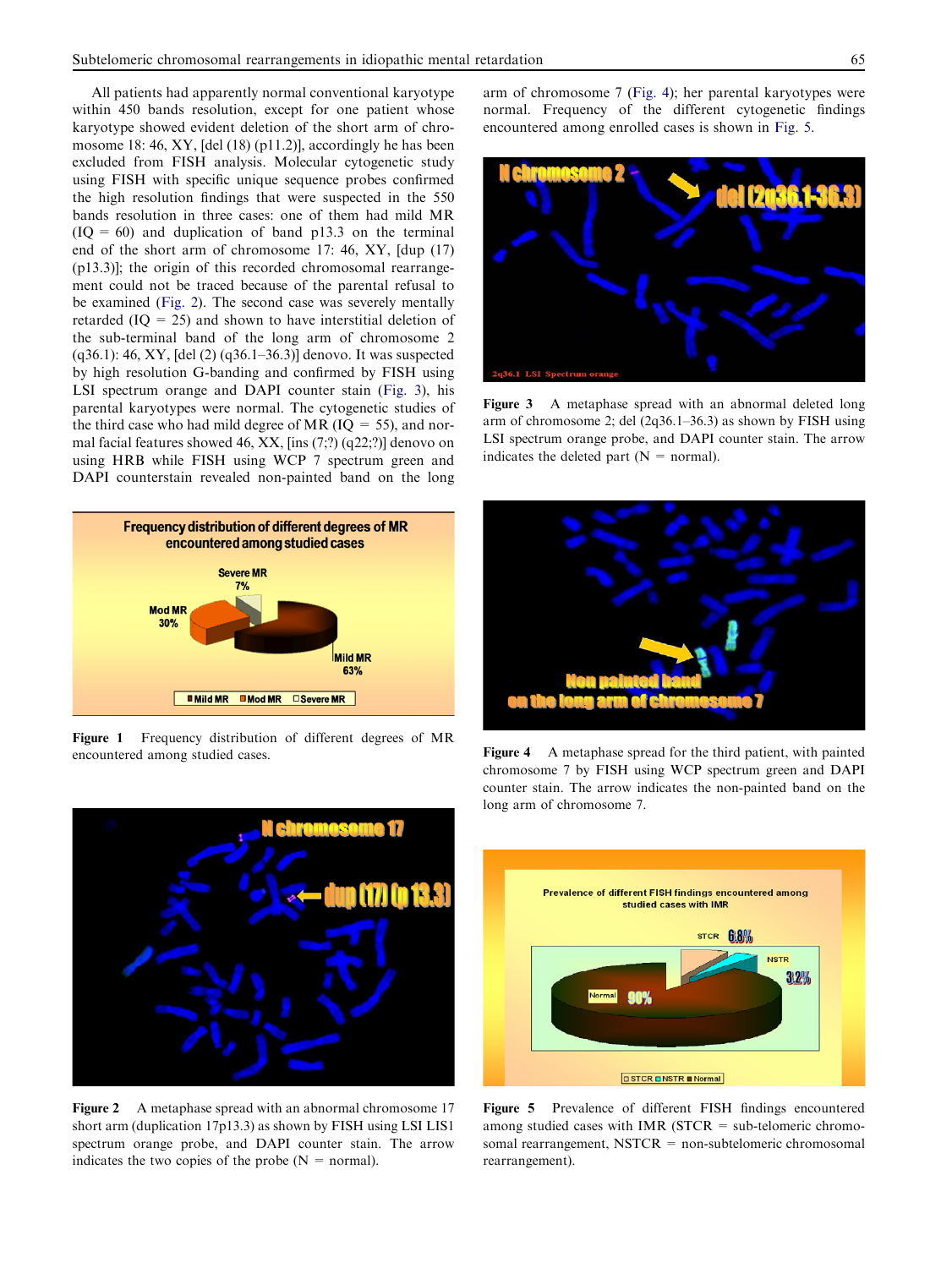<span id="page-2-0"></span>All patients had apparently normal conventional karyotype within 450 bands resolution, except for one patient whose karyotype showed evident deletion of the short arm of chromosome 18: 46, XY, [del (18) (p11.2)], accordingly he has been excluded from FISH analysis. Molecular cytogenetic study using FISH with specific unique sequence probes confirmed the high resolution findings that were suspected in the 550 bands resolution in three cases: one of them had mild MR  $(IO = 60)$  and duplication of band p13.3 on the terminal end of the short arm of chromosome 17: 46, XY, [dup (17) (p13.3)]; the origin of this recorded chromosomal rearrangement could not be traced because of the parental refusal to be examined (Fig. 2). The second case was severely mentally retarded  $(IQ = 25)$  and shown to have interstitial deletion of the sub-terminal band of the long arm of chromosome 2 (q36.1): 46, XY, [del (2) (q36.1–36.3)] denovo. It was suspected by high resolution G-banding and confirmed by FISH using LSI spectrum orange and DAPI counter stain (Fig. 3), his parental karyotypes were normal. The cytogenetic studies of the third case who had mild degree of MR  $(IO = 55)$ , and normal facial features showed 46, XX,  $\left[$ ins  $(7;$ ? $)$   $\left($ q22;? $\right)$  $\right]$  denovo on using HRB while FISH using WCP 7 spectrum green and DAPI counterstain revealed non-painted band on the long



Figure 1 Frequency distribution of different degrees of MR encountered among studied cases. Figure 4 A metaphase spread for the third patient, with painted



Figure 2 A metaphase spread with an abnormal chromosome 17 short arm (duplication 17p13.3) as shown by FISH using LSI LIS1 spectrum orange probe, and DAPI counter stain. The arrow indicates the two copies of the probe  $(N = normal)$ .

arm of chromosome 7 (Fig. 4); her parental karyotypes were normal. Frequency of the different cytogenetic findings encountered among enrolled cases is shown in Fig. 5.



Figure 3 A metaphase spread with an abnormal deleted long arm of chromosome 2; del (2q36.1–36.3) as shown by FISH using LSI spectrum orange probe, and DAPI counter stain. The arrow indicates the deleted part  $(N = normal)$ .



chromosome 7 by FISH using WCP spectrum green and DAPI counter stain. The arrow indicates the non-painted band on the long arm of chromosome 7.



Figure 5 Prevalence of different FISH findings encountered among studied cases with IMR ( $STCR = sub-telomeric$  chromosomal rearrangement, NSTCR = non-subtelomeric chromosomal rearrangement).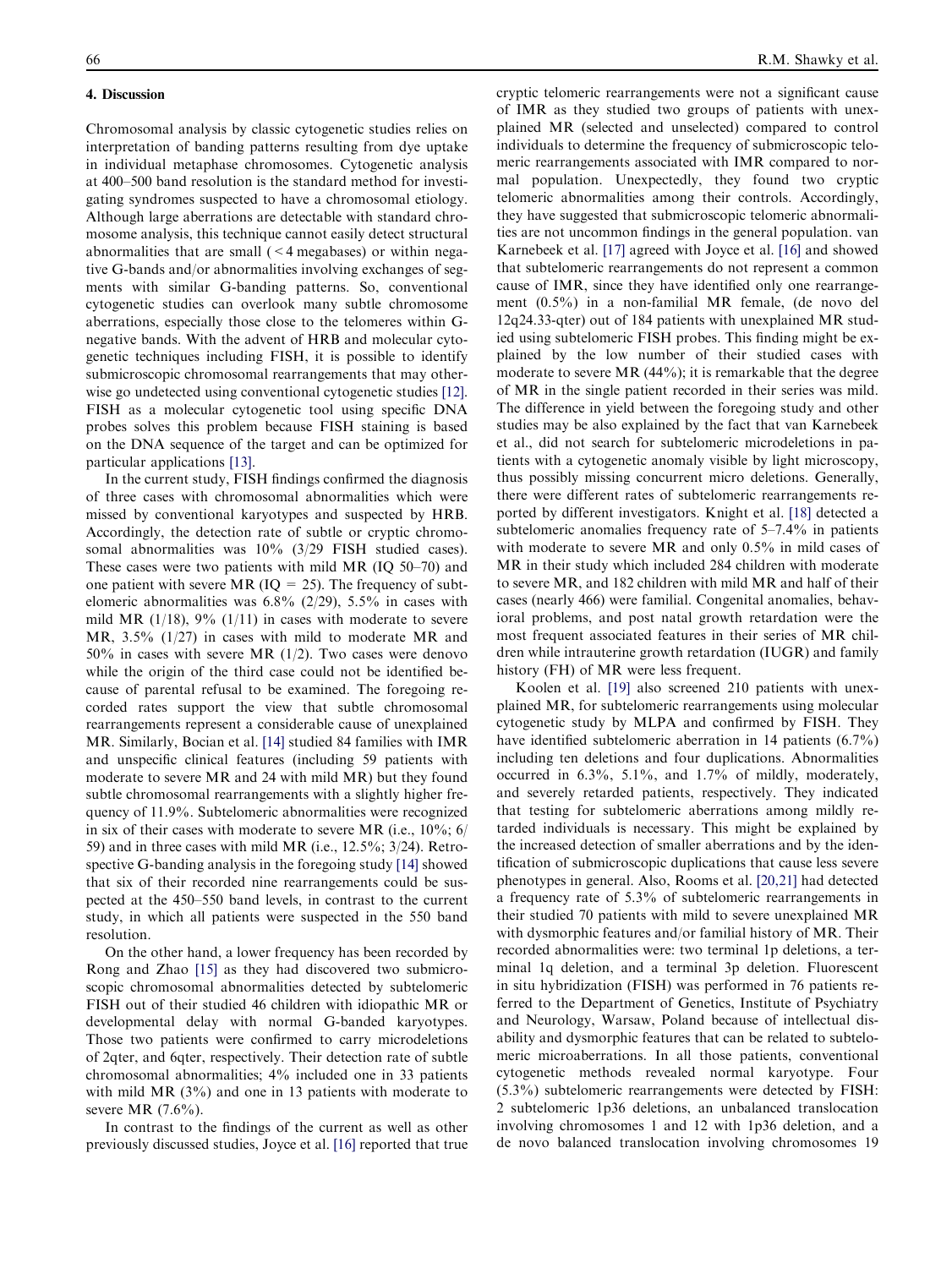# 4. Discussion

Chromosomal analysis by classic cytogenetic studies relies on interpretation of banding patterns resulting from dye uptake in individual metaphase chromosomes. Cytogenetic analysis at 400–500 band resolution is the standard method for investigating syndromes suspected to have a chromosomal etiology. Although large aberrations are detectable with standard chromosome analysis, this technique cannot easily detect structural abnormalities that are small (<4 megabases) or within negative G-bands and/or abnormalities involving exchanges of segments with similar G-banding patterns. So, conventional cytogenetic studies can overlook many subtle chromosome aberrations, especially those close to the telomeres within Gnegative bands. With the advent of HRB and molecular cytogenetic techniques including FISH, it is possible to identify submicroscopic chromosomal rearrangements that may otherwise go undetected using conventional cytogenetic studies [\[12\]](#page-4-0). FISH as a molecular cytogenetic tool using specific DNA probes solves this problem because FISH staining is based on the DNA sequence of the target and can be optimized for particular applications [\[13\].](#page-4-0)

In the current study, FISH findings confirmed the diagnosis of three cases with chromosomal abnormalities which were missed by conventional karyotypes and suspected by HRB. Accordingly, the detection rate of subtle or cryptic chromosomal abnormalities was 10% (3/29 FISH studied cases). These cases were two patients with mild MR (IQ 50–70) and one patient with severe MR ( $IQ = 25$ ). The frequency of subtelomeric abnormalities was 6.8% (2/29), 5.5% in cases with mild MR  $(1/18)$ , 9%  $(1/11)$  in cases with moderate to severe MR, 3.5% (1/27) in cases with mild to moderate MR and 50% in cases with severe MR (1/2). Two cases were denovo while the origin of the third case could not be identified because of parental refusal to be examined. The foregoing recorded rates support the view that subtle chromosomal rearrangements represent a considerable cause of unexplained MR. Similarly, Bocian et al. [\[14\]](#page-4-0) studied 84 families with IMR and unspecific clinical features (including 59 patients with moderate to severe MR and 24 with mild MR) but they found subtle chromosomal rearrangements with a slightly higher frequency of 11.9%. Subtelomeric abnormalities were recognized in six of their cases with moderate to severe MR (i.e.,  $10\%$ ; 6/ 59) and in three cases with mild MR (i.e., 12.5%; 3/24). Retro-spective G-banding analysis in the foregoing study [\[14\]](#page-4-0) showed that six of their recorded nine rearrangements could be suspected at the 450–550 band levels, in contrast to the current study, in which all patients were suspected in the 550 band resolution.

On the other hand, a lower frequency has been recorded by Rong and Zhao [\[15\]](#page-4-0) as they had discovered two submicroscopic chromosomal abnormalities detected by subtelomeric FISH out of their studied 46 children with idiopathic MR or developmental delay with normal G-banded karyotypes. Those two patients were confirmed to carry microdeletions of 2qter, and 6qter, respectively. Their detection rate of subtle chromosomal abnormalities; 4% included one in 33 patients with mild MR (3%) and one in 13 patients with moderate to severe MR (7.6%).

In contrast to the findings of the current as well as other previously discussed studies, Joyce et al. [\[16\]](#page-4-0) reported that true cryptic telomeric rearrangements were not a significant cause of IMR as they studied two groups of patients with unexplained MR (selected and unselected) compared to control individuals to determine the frequency of submicroscopic telomeric rearrangements associated with IMR compared to normal population. Unexpectedly, they found two cryptic telomeric abnormalities among their controls. Accordingly, they have suggested that submicroscopic telomeric abnormalities are not uncommon findings in the general population. van Karnebeek et al. [\[17\]](#page-4-0) agreed with Joyce et al. [\[16\]](#page-4-0) and showed that subtelomeric rearrangements do not represent a common cause of IMR, since they have identified only one rearrangement (0.5%) in a non-familial MR female, (de novo del 12q24.33-qter) out of 184 patients with unexplained MR studied using subtelomeric FISH probes. This finding might be explained by the low number of their studied cases with moderate to severe MR (44%); it is remarkable that the degree of MR in the single patient recorded in their series was mild. The difference in yield between the foregoing study and other studies may be also explained by the fact that van Karnebeek et al., did not search for subtelomeric microdeletions in patients with a cytogenetic anomaly visible by light microscopy, thus possibly missing concurrent micro deletions. Generally, there were different rates of subtelomeric rearrangements reported by different investigators. Knight et al. [\[18\]](#page-4-0) detected a subtelomeric anomalies frequency rate of 5–7.4% in patients with moderate to severe MR and only 0.5% in mild cases of MR in their study which included 284 children with moderate to severe MR, and 182 children with mild MR and half of their cases (nearly 466) were familial. Congenital anomalies, behavioral problems, and post natal growth retardation were the most frequent associated features in their series of MR children while intrauterine growth retardation (IUGR) and family history (FH) of MR were less frequent.

Koolen et al. [\[19\]](#page-4-0) also screened 210 patients with unexplained MR, for subtelomeric rearrangements using molecular cytogenetic study by MLPA and confirmed by FISH. They have identified subtelomeric aberration in 14 patients (6.7%) including ten deletions and four duplications. Abnormalities occurred in 6.3%, 5.1%, and 1.7% of mildly, moderately, and severely retarded patients, respectively. They indicated that testing for subtelomeric aberrations among mildly retarded individuals is necessary. This might be explained by the increased detection of smaller aberrations and by the identification of submicroscopic duplications that cause less severe phenotypes in general. Also, Rooms et al. [\[20,21\]](#page-4-0) had detected a frequency rate of 5.3% of subtelomeric rearrangements in their studied 70 patients with mild to severe unexplained MR with dysmorphic features and/or familial history of MR. Their recorded abnormalities were: two terminal 1p deletions, a terminal 1q deletion, and a terminal 3p deletion. Fluorescent in situ hybridization (FISH) was performed in 76 patients referred to the Department of Genetics, Institute of Psychiatry and Neurology, Warsaw, Poland because of intellectual disability and dysmorphic features that can be related to subtelomeric microaberrations. In all those patients, conventional cytogenetic methods revealed normal karyotype. Four (5.3%) subtelomeric rearrangements were detected by FISH: 2 subtelomeric 1p36 deletions, an unbalanced translocation involving chromosomes 1 and 12 with 1p36 deletion, and a de novo balanced translocation involving chromosomes 19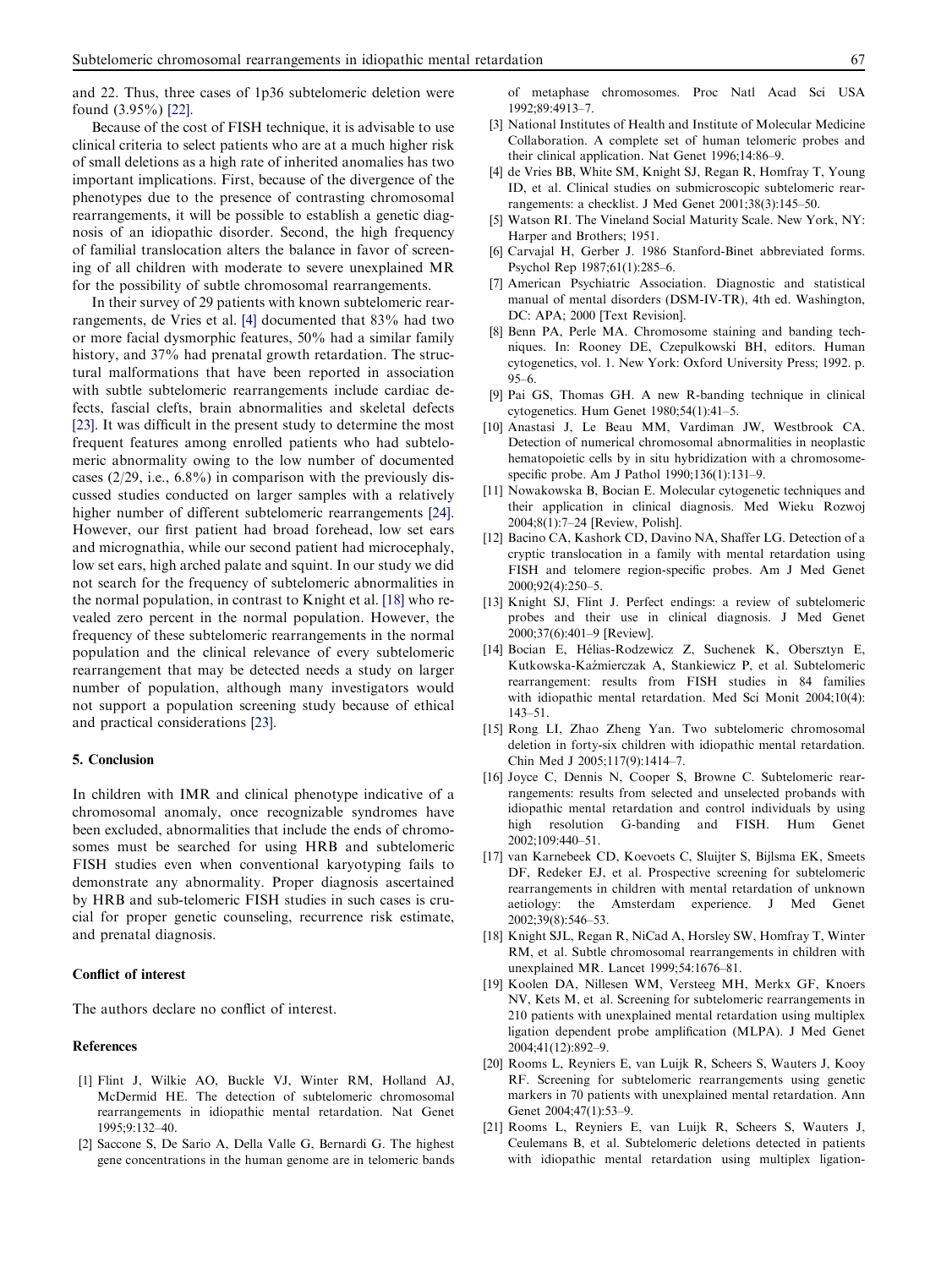<span id="page-4-0"></span>and 22. Thus, three cases of 1p36 subtelomeric deletion were found (3.95%) [\[22\].](#page-5-0)

Because of the cost of FISH technique, it is advisable to use clinical criteria to select patients who are at a much higher risk of small deletions as a high rate of inherited anomalies has two important implications. First, because of the divergence of the phenotypes due to the presence of contrasting chromosomal rearrangements, it will be possible to establish a genetic diagnosis of an idiopathic disorder. Second, the high frequency of familial translocation alters the balance in favor of screening of all children with moderate to severe unexplained MR for the possibility of subtle chromosomal rearrangements.

In their survey of 29 patients with known subtelomeric rearrangements, de Vries et al. [4] documented that 83% had two or more facial dysmorphic features, 50% had a similar family history, and 37% had prenatal growth retardation. The structural malformations that have been reported in association with subtle subtelomeric rearrangements include cardiac defects, fascial clefts, brain abnormalities and skeletal defects [\[23\]](#page-5-0). It was difficult in the present study to determine the most frequent features among enrolled patients who had subtelomeric abnormality owing to the low number of documented cases  $(2/29, i.e., 6.8\%)$  in comparison with the previously discussed studies conducted on larger samples with a relatively higher number of different subtelomeric rearrangements [\[24\]](#page-5-0). However, our first patient had broad forehead, low set ears and micrognathia, while our second patient had microcephaly, low set ears, high arched palate and squint. In our study we did not search for the frequency of subtelomeric abnormalities in the normal population, in contrast to Knight et al. [18] who revealed zero percent in the normal population. However, the frequency of these subtelomeric rearrangements in the normal population and the clinical relevance of every subtelomeric rearrangement that may be detected needs a study on larger number of population, although many investigators would not support a population screening study because of ethical and practical considerations [\[23\].](#page-5-0)

#### 5. Conclusion

In children with IMR and clinical phenotype indicative of a chromosomal anomaly, once recognizable syndromes have been excluded, abnormalities that include the ends of chromosomes must be searched for using HRB and subtelomeric FISH studies even when conventional karyotyping fails to demonstrate any abnormality. Proper diagnosis ascertained by HRB and sub-telomeric FISH studies in such cases is crucial for proper genetic counseling, recurrence risk estimate, and prenatal diagnosis.

### Conflict of interest

The authors declare no conflict of interest.

#### References

- [1] Flint J, Wilkie AO, Buckle VJ, Winter RM, Holland AJ, McDermid HE. The detection of subtelomeric chromosomal rearrangements in idiopathic mental retardation. Nat Genet 1995;9:132–40.
- [2] Saccone S, De Sario A, Della Valle G, Bernardi G. The highest gene concentrations in the human genome are in telomeric bands

of metaphase chromosomes. Proc Natl Acad Sci USA 1992;89:4913–7.

- [3] National Institutes of Health and Institute of Molecular Medicine Collaboration. A complete set of human telomeric probes and their clinical application. Nat Genet 1996;14:86–9.
- [4] de Vries BB, White SM, Knight SJ, Regan R, Homfray T, Young ID, et al. Clinical studies on submicroscopic subtelomeric rearrangements: a checklist. J Med Genet 2001;38(3):145–50.
- [5] Watson RI. The Vineland Social Maturity Scale. New York, NY: Harper and Brothers; 1951.
- [6] Carvajal H, Gerber J. 1986 Stanford-Binet abbreviated forms. Psychol Rep 1987;61(1):285–6.
- [7] American Psychiatric Association. Diagnostic and statistical manual of mental disorders (DSM-IV-TR), 4th ed. Washington, DC: APA; 2000 [Text Revision].
- [8] Benn PA, Perle MA. Chromosome staining and banding techniques. In: Rooney DE, Czepulkowski BH, editors. Human cytogenetics, vol. 1. New York: Oxford University Press; 1992. p. 95–6.
- [9] Pai GS, Thomas GH. A new R-banding technique in clinical cytogenetics. Hum Genet 1980;54(1):41–5.
- [10] Anastasi J, Le Beau MM, Vardiman JW, Westbrook CA. Detection of numerical chromosomal abnormalities in neoplastic hematopoietic cells by in situ hybridization with a chromosomespecific probe. Am J Pathol 1990;136(1):131–9.
- [11] Nowakowska B, Bocian E. Molecular cytogenetic techniques and their application in clinical diagnosis. Med Wieku Rozwoj 2004;8(1):7–24 [Review, Polish].
- [12] Bacino CA, Kashork CD, Davino NA, Shaffer LG. Detection of a cryptic translocation in a family with mental retardation using FISH and telomere region-specific probes. Am J Med Genet 2000;92(4):250–5.
- [13] Knight SJ, Flint J. Perfect endings: a review of subtelomeric probes and their use in clinical diagnosis. J Med Genet 2000;37(6):401–9 [Review].
- [14] Bocian E, Hélias-Rodzewicz Z, Suchenek K, Obersztyn E, Kutkowska-Kaz´mierczak A, Stankiewicz P, et al. Subtelomeric rearrangement: results from FISH studies in 84 families with idiopathic mental retardation. Med Sci Monit 2004;10(4): 143–51.
- [15] Rong LI, Zhao Zheng Yan. Two subtelomeric chromosomal deletion in forty-six children with idiopathic mental retardation. Chin Med J 2005;117(9):1414–7.
- [16] Joyce C, Dennis N, Cooper S, Browne C. Subtelomeric rearrangements: results from selected and unselected probands with idiopathic mental retardation and control individuals by using high resolution G-banding and FISH. Hum Genet 2002;109:440–51.
- [17] van Karnebeek CD, Koevoets C, Sluijter S, Bijlsma EK, Smeets DF, Redeker EJ, et al. Prospective screening for subtelomeric rearrangements in children with mental retardation of unknown aetiology: the Amsterdam experience. J Med Genet 2002;39(8):546–53.
- [18] Knight SJL, Regan R, NiCad A, Horsley SW, Homfray T, Winter RM, et al. Subtle chromosomal rearrangements in children with unexplained MR. Lancet 1999;54:1676–81.
- [19] Koolen DA, Nillesen WM, Versteeg MH, Merkx GF, Knoers NV, Kets M, et al. Screening for subtelomeric rearrangements in 210 patients with unexplained mental retardation using multiplex ligation dependent probe amplification (MLPA). J Med Genet 2004;41(12):892–9.
- [20] Rooms L, Reyniers E, van Luijk R, Scheers S, Wauters J, Kooy RF. Screening for subtelomeric rearrangements using genetic markers in 70 patients with unexplained mental retardation. Ann Genet 2004;47(1):53-9.
- [21] Rooms L, Reyniers E, van Luijk R, Scheers S, Wauters J, Ceulemans B, et al. Subtelomeric deletions detected in patients with idiopathic mental retardation using multiplex ligation-